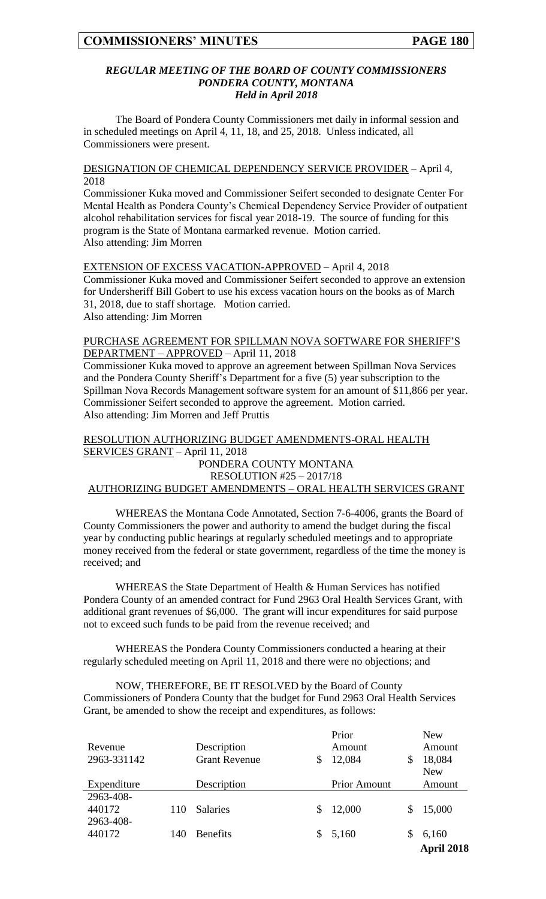#### *REGULAR MEETING OF THE BOARD OF COUNTY COMMISSIONERS PONDERA COUNTY, MONTANA Held in April 2018*

The Board of Pondera County Commissioners met daily in informal session and in scheduled meetings on April 4, 11, 18, and 25, 2018. Unless indicated, all Commissioners were present.

DESIGNATION OF CHEMICAL DEPENDENCY SERVICE PROVIDER – April 4, 2018

Commissioner Kuka moved and Commissioner Seifert seconded to designate Center For Mental Health as Pondera County's Chemical Dependency Service Provider of outpatient alcohol rehabilitation services for fiscal year 2018-19. The source of funding for this program is the State of Montana earmarked revenue. Motion carried. Also attending: Jim Morren

EXTENSION OF EXCESS VACATION-APPROVED – April 4, 2018 Commissioner Kuka moved and Commissioner Seifert seconded to approve an extension for Undersheriff Bill Gobert to use his excess vacation hours on the books as of March 31, 2018, due to staff shortage. Motion carried. Also attending: Jim Morren

#### PURCHASE AGREEMENT FOR SPILLMAN NOVA SOFTWARE FOR SHERIFF'S DEPARTMENT – APPROVED – April 11, 2018

Commissioner Kuka moved to approve an agreement between Spillman Nova Services and the Pondera County Sheriff's Department for a five (5) year subscription to the Spillman Nova Records Management software system for an amount of \$11,866 per year. Commissioner Seifert seconded to approve the agreement. Motion carried. Also attending: Jim Morren and Jeff Pruttis

#### RESOLUTION AUTHORIZING BUDGET AMENDMENTS-ORAL HEALTH SERVICES GRANT – April 11, 2018 PONDERA COUNTY MONTANA RESOLUTION #25 – 2017/18 AUTHORIZING BUDGET AMENDMENTS – ORAL HEALTH SERVICES GRANT

WHEREAS the Montana Code Annotated, Section 7-6-4006, grants the Board of County Commissioners the power and authority to amend the budget during the fiscal year by conducting public hearings at regularly scheduled meetings and to appropriate money received from the federal or state government, regardless of the time the money is received; and

WHEREAS the State Department of Health & Human Services has notified Pondera County of an amended contract for Fund 2963 Oral Health Services Grant, with additional grant revenues of \$6,000. The grant will incur expenditures for said purpose not to exceed such funds to be paid from the revenue received; and

WHEREAS the Pondera County Commissioners conducted a hearing at their regularly scheduled meeting on April 11, 2018 and there were no objections; and

NOW, THEREFORE, BE IT RESOLVED by the Board of County Commissioners of Pondera County that the budget for Fund 2963 Oral Health Services Grant, be amended to show the receipt and expenditures, as follows:

|             |     |                      |    | Prior               |   | <b>New</b> |
|-------------|-----|----------------------|----|---------------------|---|------------|
| Revenue     |     | Description          |    | Amount              |   | Amount     |
| 2963-331142 |     | <b>Grant Revenue</b> |    | 12,084              | S | 18,084     |
|             |     |                      |    |                     |   | <b>New</b> |
| Expenditure |     | Description          |    | <b>Prior Amount</b> |   | Amount     |
| 2963-408-   |     |                      |    |                     |   |            |
| 440172      | 110 | <b>Salaries</b>      | \$ | 12,000              | S | 15,000     |
| 2963-408-   |     |                      |    |                     |   |            |
| 440172      | 140 | <b>Benefits</b>      | S. | 5,160               | S | 6,160      |
|             |     |                      |    |                     |   | April 2018 |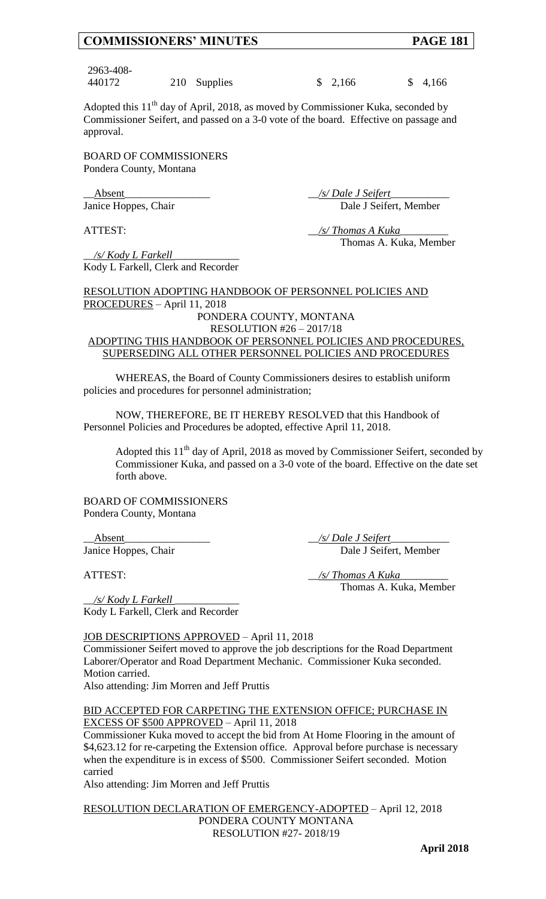2963-408-

440172 210 Supplies \$ 2,166 \$ 4,166

Adopted this  $11<sup>th</sup>$  day of April, 2018, as moved by Commissioner Kuka, seconded by Commissioner Seifert, and passed on a 3-0 vote of the board. Effective on passage and approval.

BOARD OF COMMISSIONERS Pondera County, Montana

\_\_Absent\_\_\_\_\_\_\_\_\_\_\_\_\_\_\_\_ \_\_*/s/ Dale J Seifert*\_\_\_\_\_\_\_\_\_\_\_ Janice Hoppes, Chair Dale J Seifert, Member

ATTEST:  $\frac{1}{s}$  /s/ Thomas A Kuka Thomas A. Kuka, Member

\_\_*/s/ Kody L Farkell* \_\_\_\_\_\_\_\_\_\_\_\_ Kody L Farkell, Clerk and Recorder

RESOLUTION ADOPTING HANDBOOK OF PERSONNEL POLICIES AND PROCEDURES – April 11, 2018 PONDERA COUNTY, MONTANA RESOLUTION #26 – 2017/18 ADOPTING THIS HANDBOOK OF PERSONNEL POLICIES AND PROCEDURES,

# SUPERSEDING ALL OTHER PERSONNEL POLICIES AND PROCEDURES

WHEREAS, the Board of County Commissioners desires to establish uniform policies and procedures for personnel administration;

NOW, THEREFORE, BE IT HEREBY RESOLVED that this Handbook of Personnel Policies and Procedures be adopted, effective April 11, 2018.

Adopted this  $11<sup>th</sup>$  day of April, 2018 as moved by Commissioner Seifert, seconded by Commissioner Kuka, and passed on a 3-0 vote of the board. Effective on the date set forth above.

BOARD OF COMMISSIONERS Pondera County, Montana

\_\_Absent\_\_\_\_\_\_\_\_\_\_\_\_\_\_\_\_ \_\_*/s/ Dale J Seifert*\_\_\_\_\_\_\_\_\_\_\_ Janice Hoppes, Chair Dale J Seifert, Member

ATTEST: \_\_*/s/ Thomas A Kuka*\_\_\_\_\_\_\_\_\_ Thomas A. Kuka, Member

\_\_*/s/ Kody L Farkell* \_\_\_\_\_\_\_\_\_\_\_\_ Kody L Farkell, Clerk and Recorder

## JOB DESCRIPTIONS APPROVED – April 11, 2018

Commissioner Seifert moved to approve the job descriptions for the Road Department Laborer/Operator and Road Department Mechanic. Commissioner Kuka seconded. Motion carried.

Also attending: Jim Morren and Jeff Pruttis

#### BID ACCEPTED FOR CARPETING THE EXTENSION OFFICE; PURCHASE IN EXCESS OF \$500 APPROVED – April 11, 2018

Commissioner Kuka moved to accept the bid from At Home Flooring in the amount of \$4,623.12 for re-carpeting the Extension office. Approval before purchase is necessary when the expenditure is in excess of \$500. Commissioner Seifert seconded. Motion carried

Also attending: Jim Morren and Jeff Pruttis

RESOLUTION DECLARATION OF EMERGENCY-ADOPTED – April 12, 2018 PONDERA COUNTY MONTANA RESOLUTION #27- 2018/19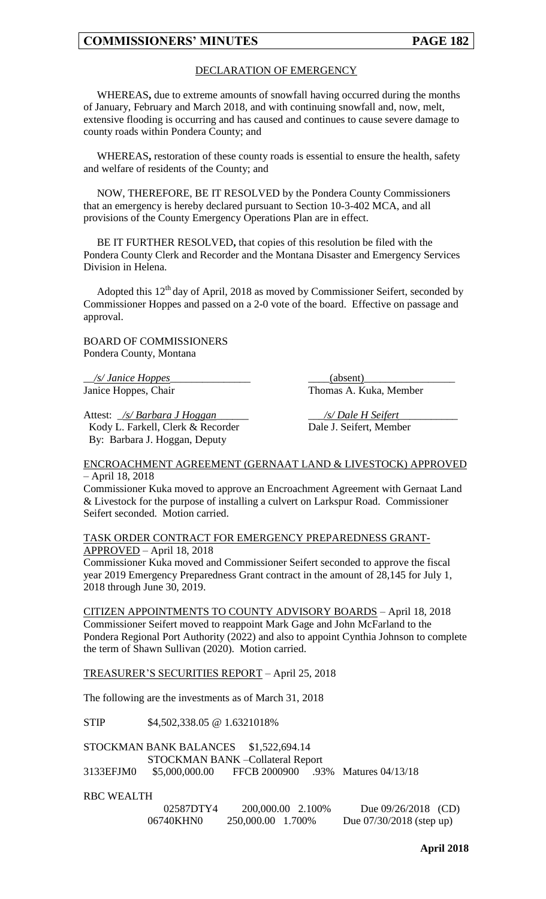#### DECLARATION OF EMERGENCY

WHEREAS**,** due to extreme amounts of snowfall having occurred during the months of January, February and March 2018, and with continuing snowfall and, now, melt, extensive flooding is occurring and has caused and continues to cause severe damage to county roads within Pondera County; and

WHEREAS**,** restoration of these county roads is essential to ensure the health, safety and welfare of residents of the County; and

NOW, THEREFORE, BE IT RESOLVED by the Pondera County Commissioners that an emergency is hereby declared pursuant to Section 10-3-402 MCA, and all provisions of the County Emergency Operations Plan are in effect.

BE IT FURTHER RESOLVED**,** that copies of this resolution be filed with the Pondera County Clerk and Recorder and the Montana Disaster and Emergency Services Division in Helena.

Adopted this  $12<sup>th</sup>$  day of April, 2018 as moved by Commissioner Seifert, seconded by Commissioner Hoppes and passed on a 2-0 vote of the board. Effective on passage and approval.

BOARD OF COMMISSIONERS Pondera County, Montana

\_\_*/s/ Janice Hoppes*\_\_\_\_\_\_\_\_\_\_\_\_\_\_\_ \_\_\_\_(absent)\_\_\_\_\_\_\_\_\_\_\_\_\_\_\_\_\_

Janice Hoppes, Chair Thomas A. Kuka, Member

Attest: \_*/s/ Barbara J Hoggan*\_\_\_\_\_\_ \_\_\_*/s/ Dale H Seifert*\_\_\_\_\_\_\_\_\_\_\_ Kody L. Farkell, Clerk & Recorder Dale J. Seifert, Member By: Barbara J. Hoggan, Deputy

#### ENCROACHMENT AGREEMENT (GERNAAT LAND & LIVESTOCK) APPROVED – April 18, 2018

Commissioner Kuka moved to approve an Encroachment Agreement with Gernaat Land & Livestock for the purpose of installing a culvert on Larkspur Road. Commissioner Seifert seconded. Motion carried.

TASK ORDER CONTRACT FOR EMERGENCY PREPAREDNESS GRANT-APPROVED – April 18, 2018

Commissioner Kuka moved and Commissioner Seifert seconded to approve the fiscal year 2019 Emergency Preparedness Grant contract in the amount of 28,145 for July 1, 2018 through June 30, 2019.

CITIZEN APPOINTMENTS TO COUNTY ADVISORY BOARDS – April 18, 2018 Commissioner Seifert moved to reappoint Mark Gage and John McFarland to the Pondera Regional Port Authority (2022) and also to appoint Cynthia Johnson to complete the term of Shawn Sullivan (2020). Motion carried.

TREASURER'S SECURITIES REPORT – April 25, 2018

The following are the investments as of March 31, 2018

STIP \$4,502,338.05 @ 1.6321018%

|           | STOCKMAN BANK BALANCES \$1,522,694.14 |  |                                    |
|-----------|---------------------------------------|--|------------------------------------|
|           | STOCKMAN BANK – Collateral Report     |  |                                    |
| 3133EFJM0 | \$5,000,000.00                        |  | FFCB 2000900 .93% Matures 04/13/18 |

RBC WEALTH

| 02587DTY4 | 200,000.00 2.100%  | Due $09/26/2018$ (CD)      |
|-----------|--------------------|----------------------------|
| 06740KHN0 | 250,000.00 1.700\% | Due $07/30/2018$ (step up) |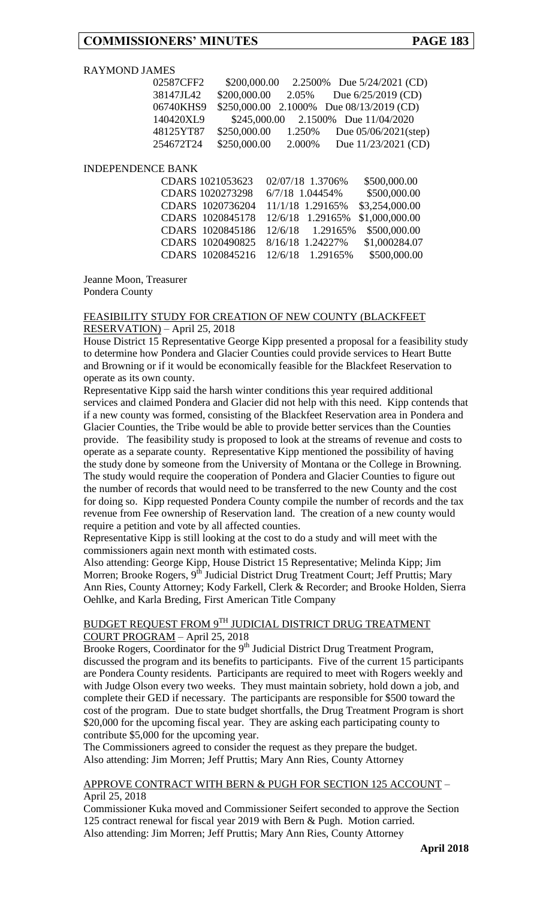#### RAYMOND JAMES

| 02587CFF2 | \$200,000.00 |        | 2.2500% Due 5/24/2021 (CD)               |
|-----------|--------------|--------|------------------------------------------|
| 38147JL42 | \$200,000.00 | 2.05%  | Due $6/25/2019$ (CD)                     |
| 06740KHS9 |              |        | \$250,000.00 2.1000% Due 08/13/2019 (CD) |
| 140420XL9 |              |        | \$245,000.00 2.1500% Due 11/04/2020      |
| 48125YT87 | \$250,000.00 | 1.250% | Due $05/06/2021$ (step)                  |
| 254672T24 | \$250,000.00 | 2.000% | Due 11/23/2021 (CD)                      |

#### INDEPENDENCE BANK

| CDARS 1021053623 02/07/18 1.3706%                |  | \$500,000.00                                   |
|--------------------------------------------------|--|------------------------------------------------|
| CDARS 1020273298 6/7/18 1.04454%                 |  | \$500,000.00                                   |
| CDARS 1020736204 11/1/18 1.29165%                |  | \$3,254,000.00                                 |
| CDARS 1020845178 12/6/18 1.29165% \$1,000,000.00 |  |                                                |
|                                                  |  | CDARS 1020845186 12/6/18 1.29165% \$500,000.00 |
| CDARS 1020490825 8/16/18 1.24227%                |  | \$1,000284.07                                  |
| CDARS 1020845216 12/6/18 1.29165%                |  | \$500,000.00                                   |

Jeanne Moon, Treasurer Pondera County

#### FEASIBILITY STUDY FOR CREATION OF NEW COUNTY (BLACKFEET RESERVATION) – April 25, 2018

House District 15 Representative George Kipp presented a proposal for a feasibility study to determine how Pondera and Glacier Counties could provide services to Heart Butte and Browning or if it would be economically feasible for the Blackfeet Reservation to operate as its own county.

Representative Kipp said the harsh winter conditions this year required additional services and claimed Pondera and Glacier did not help with this need. Kipp contends that if a new county was formed, consisting of the Blackfeet Reservation area in Pondera and Glacier Counties, the Tribe would be able to provide better services than the Counties provide. The feasibility study is proposed to look at the streams of revenue and costs to operate as a separate county. Representative Kipp mentioned the possibility of having the study done by someone from the University of Montana or the College in Browning. The study would require the cooperation of Pondera and Glacier Counties to figure out the number of records that would need to be transferred to the new County and the cost for doing so. Kipp requested Pondera County compile the number of records and the tax revenue from Fee ownership of Reservation land. The creation of a new county would require a petition and vote by all affected counties.

Representative Kipp is still looking at the cost to do a study and will meet with the commissioners again next month with estimated costs.

Also attending: George Kipp, House District 15 Representative; Melinda Kipp; Jim Morren; Brooke Rogers, 9<sup>th</sup> Judicial District Drug Treatment Court; Jeff Pruttis; Mary Ann Ries, County Attorney; Kody Farkell, Clerk & Recorder; and Brooke Holden, Sierra Oehlke, and Karla Breding, First American Title Company

#### BUDGET REQUEST FROM 9TH JUDICIAL DISTRICT DRUG TREATMENT COURT PROGRAM – April 25, 2018

Brooke Rogers, Coordinator for the  $9<sup>th</sup>$  Judicial District Drug Treatment Program, discussed the program and its benefits to participants. Five of the current 15 participants are Pondera County residents. Participants are required to meet with Rogers weekly and with Judge Olson every two weeks. They must maintain sobriety, hold down a job, and complete their GED if necessary. The participants are responsible for \$500 toward the cost of the program. Due to state budget shortfalls, the Drug Treatment Program is short \$20,000 for the upcoming fiscal year. They are asking each participating county to contribute \$5,000 for the upcoming year.

The Commissioners agreed to consider the request as they prepare the budget. Also attending: Jim Morren; Jeff Pruttis; Mary Ann Ries, County Attorney

APPROVE CONTRACT WITH BERN & PUGH FOR SECTION 125 ACCOUNT – April 25, 2018

Commissioner Kuka moved and Commissioner Seifert seconded to approve the Section 125 contract renewal for fiscal year 2019 with Bern & Pugh. Motion carried. Also attending: Jim Morren; Jeff Pruttis; Mary Ann Ries, County Attorney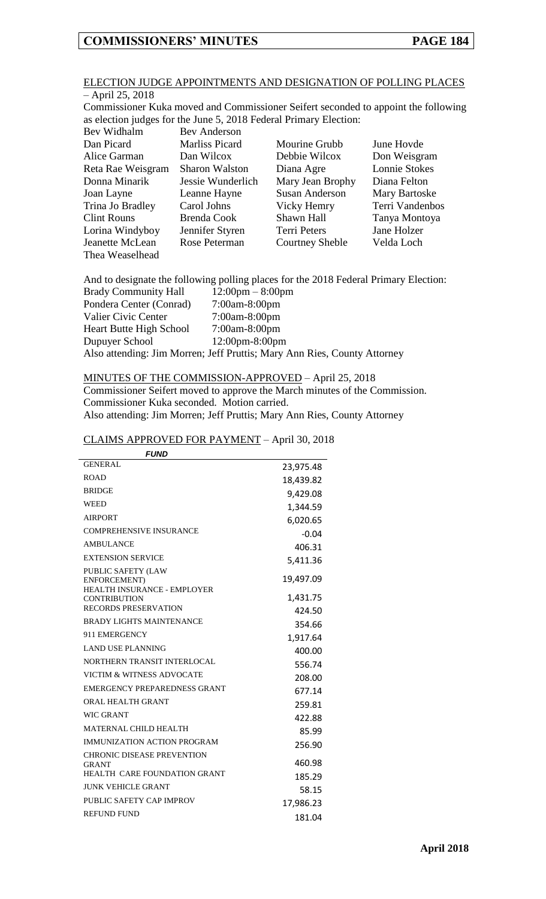Thea Weaselhead

#### ELECTION JUDGE APPOINTMENTS AND DESIGNATION OF POLLING PLACES – April 25, 2018

Commissioner Kuka moved and Commissioner Seifert seconded to appoint the following as election judges for the June 5, 2018 Federal Primary Election:

| Bev Widhalm        | <b>Bev Anderson</b>   |                        |                      |
|--------------------|-----------------------|------------------------|----------------------|
| Dan Picard         | <b>Marliss Picard</b> | Mourine Grubb          | June Hovde           |
| Alice Garman       | Dan Wilcox            | Debbie Wilcox          | Don Weisgram         |
| Reta Rae Weisgram  | <b>Sharon Walston</b> | Diana Agre             | Lonnie Stokes        |
| Donna Minarik      | Jessie Wunderlich     | Mary Jean Brophy       | Diana Felton         |
| Joan Layne         | Leanne Hayne          | <b>Susan Anderson</b>  | <b>Mary Bartoske</b> |
| Trina Jo Bradley   | Carol Johns           | Vicky Hemry            | Terri Vandenbos      |
| <b>Clint Rouns</b> | Brenda Cook           | Shawn Hall             | Tanya Montoya        |
| Lorina Windyboy    | Jennifer Styren       | Terri Peters           | Jane Holzer          |
| Jeanette McLean    | Rose Peterman         | <b>Courtney Sheble</b> | Velda Loch           |

And to designate the following polling places for the 2018 Federal Primary Election:<br>Ready Community Hall  $12.00 \text{nm} = 8.00 \text{nm}$ 

| <b>Brady Community Hall</b>    | $12:00 \text{pm} - 8:00 \text{pm}$                                       |
|--------------------------------|--------------------------------------------------------------------------|
| Pondera Center (Conrad)        | $7:00$ am-8:00pm                                                         |
| Valier Civic Center            | 7:00am-8:00pm                                                            |
| <b>Heart Butte High School</b> | $7:00$ am-8:00pm                                                         |
| Dupuyer School                 | $12:00 \text{pm} - 8:00 \text{pm}$                                       |
|                                | Also attending: Jim Morren; Jeff Pruttis; Mary Ann Ries, County Attorney |

#### MINUTES OF THE COMMISSION-APPROVED – April 25, 2018

Commissioner Seifert moved to approve the March minutes of the Commission. Commissioner Kuka seconded. Motion carried.

Also attending: Jim Morren; Jeff Pruttis; Mary Ann Ries, County Attorney

# CLAIMS APPROVED FOR PAYMENT – April 30, 2018

| <b>FUND</b>                                                              |           |
|--------------------------------------------------------------------------|-----------|
| <b>GENERAL</b>                                                           | 23,975.48 |
| <b>ROAD</b>                                                              | 18,439.82 |
| <b>BRIDGE</b>                                                            | 9,429.08  |
| WEED                                                                     | 1,344.59  |
| <b>AIRPORT</b>                                                           | 6,020.65  |
| COMPREHENSIVE INSURANCE                                                  | $-0.04$   |
| <b>AMBULANCE</b>                                                         | 406.31    |
| <b>EXTENSION SERVICE</b>                                                 | 5,411.36  |
| <b>PUBLIC SAFETY (LAW</b><br>ENFORCEMENT)<br>HEALTH INSURANCE - EMPLOYER | 19,497.09 |
| <b>CONTRIBUTION</b>                                                      | 1,431.75  |
| <b>RECORDS PRESERVATION</b>                                              | 424.50    |
| <b>BRADY LIGHTS MAINTENANCE</b>                                          | 354.66    |
| 911 EMERGENCY                                                            | 1,917.64  |
| <b>LAND USE PLANNING</b>                                                 | 400.00    |
| NORTHERN TRANSIT INTERLOCAL                                              | 556.74    |
| VICTIM & WITNESS ADVOCATE                                                | 208.00    |
| EMERGENCY PREPAREDNESS GRANT                                             | 677.14    |
| ORAL HEALTH GRANT                                                        | 259.81    |
| <b>WIC GRANT</b>                                                         | 422.88    |
| <b>MATERNAL CHILD HEALTH</b>                                             | 85.99     |
| <b>IMMUNIZATION ACTION PROGRAM</b>                                       | 256.90    |
| <b>CHRONIC DISEASE PREVENTION</b><br><b>GRANT</b>                        | 460.98    |
| HEALTH CARE FOUNDATION GRANT                                             | 185.29    |
| <b>JUNK VEHICLE GRANT</b>                                                | 58.15     |
| PUBLIC SAFETY CAP IMPROV                                                 | 17,986.23 |
| <b>REFUND FUND</b>                                                       | 181.04    |